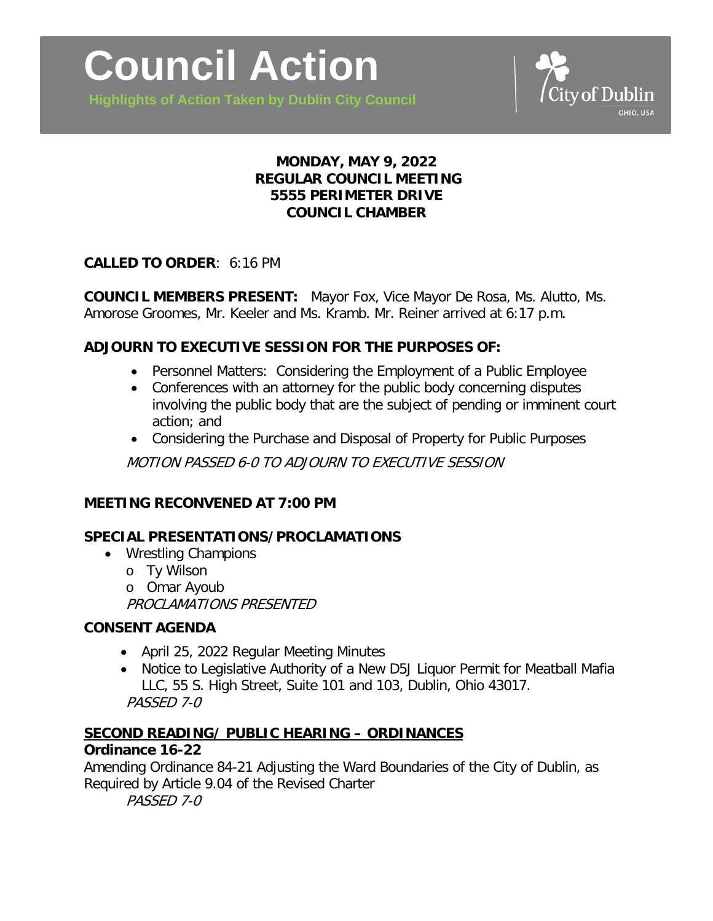

**Highlights of Action Taken by Dublin City Council**

# **MONDAY, MAY 9, 2022 REGULAR COUNCIL MEETING 5555 PERIMETER DRIVE COUNCIL CHAMBER**

## **CALLED TO ORDER**: 6:16 PM

**COUNCIL MEMBERS PRESENT:** Mayor Fox, Vice Mayor De Rosa, Ms. Alutto, Ms. Amorose Groomes, Mr. Keeler and Ms. Kramb. Mr. Reiner arrived at 6:17 p.m.

# **ADJOURN TO EXECUTIVE SESSION FOR THE PURPOSES OF:**

- Personnel Matters: Considering the Employment of a Public Employee
- Conferences with an attorney for the public body concerning disputes involving the public body that are the subject of pending or imminent court action; and
- Considering the Purchase and Disposal of Property for Public Purposes

MOTION PASSED 6-0 TO ADJOURN TO EXECUTIVE SESSION

## **MEETING RECONVENED AT 7:00 PM**

## **SPECIAL PRESENTATIONS/PROCLAMATIONS**

- Wrestling Champions
	- o Ty Wilson
	- o Omar Ayoub

PROCLAMATIONS PRESENTED

## **CONSENT AGENDA**

- April 25, 2022 Regular Meeting Minutes
- Notice to Legislative Authority of a New D5J Liquor Permit for Meatball Mafia LLC, 55 S. High Street, Suite 101 and 103, Dublin, Ohio 43017. PASSED 7-0

# **SECOND READING/ PUBLIC HEARING – ORDINANCES**

## **Ordinance 16-22**

Amending Ordinance 84-21 Adjusting the Ward Boundaries of the City of Dublin, as Required by Article 9.04 of the Revised Charter PASSED 7-0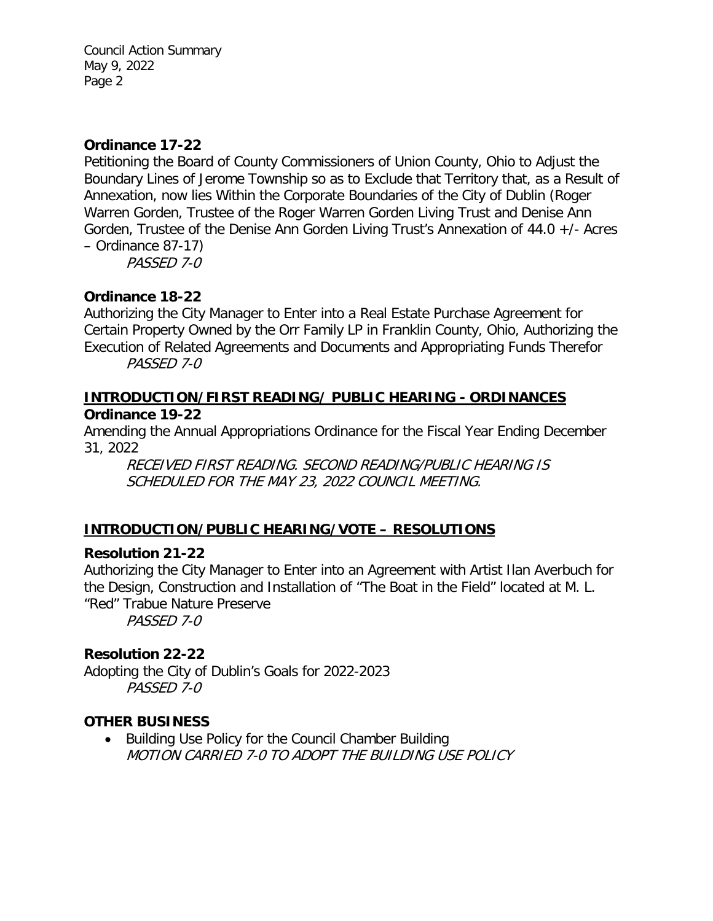Council Action Summary May 9, 2022 Page 2

#### **Ordinance 17-22**

Petitioning the Board of County Commissioners of Union County, Ohio to Adjust the Boundary Lines of Jerome Township so as to Exclude that Territory that, as a Result of Annexation, now lies Within the Corporate Boundaries of the City of Dublin (Roger Warren Gorden, Trustee of the Roger Warren Gorden Living Trust and Denise Ann Gorden, Trustee of the Denise Ann Gorden Living Trust's Annexation of 44.0 +/- Acres – Ordinance 87-17)

PASSED 7-0

## **Ordinance 18-22**

Authorizing the City Manager to Enter into a Real Estate Purchase Agreement for Certain Property Owned by the Orr Family LP in Franklin County, Ohio, Authorizing the Execution of Related Agreements and Documents and Appropriating Funds Therefor PASSED 7-0

#### **INTRODUCTION/FIRST READING/ PUBLIC HEARING - ORDINANCES Ordinance 19-22**

Amending the Annual Appropriations Ordinance for the Fiscal Year Ending December 31, 2022

RECEIVED FIRST READING. SECOND READING/PUBLIC HEARING IS SCHEDULED FOR THE MAY 23, 2022 COUNCIL MEETING.

## **INTRODUCTION/PUBLIC HEARING/VOTE – RESOLUTIONS**

#### **Resolution 21-22**

Authorizing the City Manager to Enter into an Agreement with Artist Ilan Averbuch for the Design, Construction and Installation of "The Boat in the Field" located at M. L. "Red" Trabue Nature Preserve PASSED 7-0

#### **Resolution 22-22**

Adopting the City of Dublin's Goals for 2022-2023 PASSED 7-0

#### **OTHER BUSINESS**

• Building Use Policy for the Council Chamber Building MOTION CARRIED 7-0 TO ADOPT THE BUILDING USE POLICY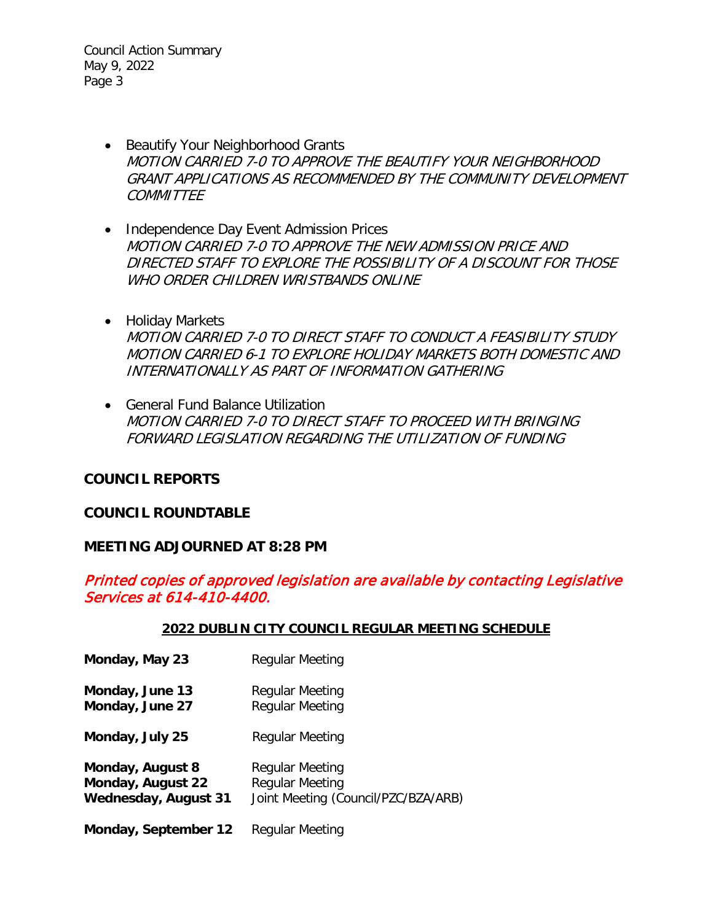Council Action Summary May 9, 2022 Page 3

- Beautify Your Neighborhood Grants MOTION CARRIED 7-0 TO APPROVE THE BEAUTIFY YOUR NEIGHBORHOOD GRANT APPLICATIONS AS RECOMMENDED BY THE COMMUNITY DEVELOPMENT COMMITTEE
- Independence Day Event Admission Prices MOTION CARRIED 7-0 TO APPROVE THE NEW ADMISSION PRICE AND DIRECTED STAFF TO EXPLORE THE POSSIBILITY OF A DISCOUNT FOR THOSE WHO ORDER CHILDREN WRISTBANDS ONLINE
- Holiday Markets MOTION CARRIED 7-0 TO DIRECT STAFF TO CONDUCT A FEASIBILITY STUDY MOTION CARRIED 6-1 TO EXPLORE HOLIDAY MARKETS BOTH DOMESTIC AND INTERNATIONALLY AS PART OF INFORMATION GATHERING
- General Fund Balance Utilization MOTION CARRIED 7-0 TO DIRECT STAFF TO PROCEED WITH BRINGING FORWARD LEGISLATION REGARDING THE UTILIZATION OF FUNDING

#### **COUNCIL REPORTS**

#### **COUNCIL ROUNDTABLE**

#### **MEETING ADJOURNED AT 8:28 PM**

## Printed copies of approved legislation are available by contacting Legislative Services at 614-410-4400.

#### **2022 DUBLIN CITY COUNCIL REGULAR MEETING SCHEDULE**

**Monday, May 23** Regular Meeting **Monday, June 13** Regular Meeting **Monday, June 27** Regular Meeting **Monday, July 25** Regular Meeting **Monday, August 8** Regular Meeting<br>**Monday, August 22** Regular Meeting **Monday, August 22 Wednesday, August 31** Joint Meeting (Council/PZC/BZA/ARB) **Monday, September 12** Regular Meeting